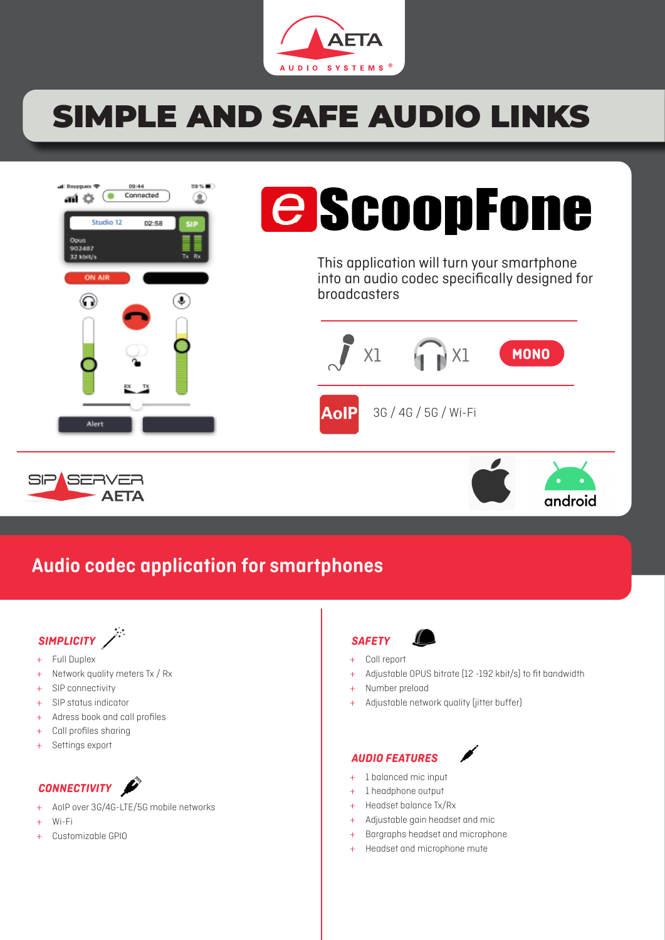

# SIMPLE AND SAFE AUDIO LINKS



# **e** ScoopFone

This application will turn your smartphone into an audio codec specifically designed for broadcasters







## Audio codec application for smartphones



- + Full Duplex
- + Network quality meters Tx / Rx
- + SIP connectivity
- + SIP status indicator
- + Adress book and call profiles
- + Call profiles sharing
- Settings export

## CONNECTIVITY **P**

- + AoIP over 3G/4G-LTE/5G mobile networks
- + Wi-Fi
- Customizable GPIO



- + Call report
- + Adjustable OPUS bitrate (12 -192 kbit/s) to fit bandwidth
- + Number preload
- Adjustable network quality (jitter buffer)

## AUDIO FEATURES



- + 1 balanced mic input
- + 1 headphone output
- + Headset balance Tx/Rx
- + Adjustable gain headset and mic
- + Bargraphs headset and microphone
- Headset and microphone mute